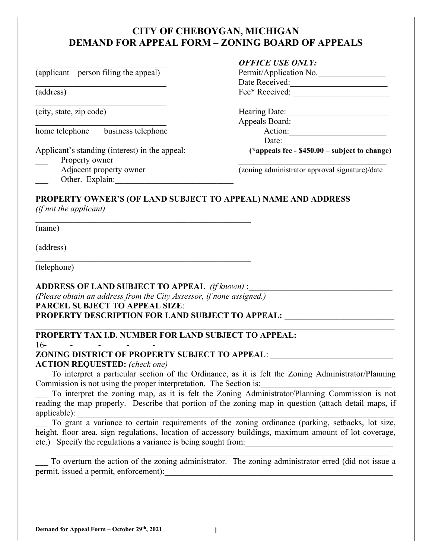# CITY OF CHEBOYGAN, MICHIGAN DEMAND FOR APPEAL FORM – ZONING BOARD OF APPEALS

 $\alpha$  (applicant – person filing the appeal)

(city, state, zip code) Hearing Date:\_\_\_\_\_\_\_\_\_\_\_\_\_\_\_\_\_\_\_\_\_\_\_\_

home telephone business telephone Action:\_\_\_\_\_\_\_\_\_\_\_\_\_\_\_\_\_\_\_\_\_\_\_

- Property owner
- 
- Other. Explain:

### OFFICE USE ONLY:

| (applicant – person filing the appeal) | Permit/Application No. |
|----------------------------------------|------------------------|
|                                        | Date Received:         |
| (address)                              | Fee* Received:         |

Appeals Board:  $Date:$ 

Applicant's standing (interest) in the appeal: (\*appeals  $\overline{fe}$  - \$450.00 – subject to change)

Adjacent property owner (zoning administrator approval signature)/date

## PROPERTY OWNER'S (OF LAND SUBJECT TO APPEAL) NAME AND ADDRESS

(if not the applicant)

(name)

(address)

(telephone)

## ADDRESS OF LAND SUBJECT TO APPEAL  $(if known):$

(Please obtain an address from the City Assessor, if none assigned.)

PARCEL SUBJECT TO APPEAL SIZE:\_\_\_\_\_\_\_\_\_\_\_\_\_\_\_\_\_\_\_\_\_\_\_\_\_\_\_\_\_\_\_\_\_\_\_\_\_\_\_\_\_\_\_\_\_\_\_\_\_

PROPERTY DESCRIPTION FOR LAND SUBJECT TO APPEAL:

## PROPERTY TAX I.D. NUMBER FOR LAND SUBJECT TO APPEAL:

 $16-$  -  $-$  -  $-$ 

# ZONING DISTRICT OF PROPERTY SUBJECT TO APPEAL: \_\_\_\_\_\_\_\_\_\_\_\_\_\_\_\_\_\_\_\_\_\_\_\_\_\_\_\_\_\_\_\_\_

ACTION REQUESTED: (check one)

To interpret a particular section of the Ordinance, as it is felt the Zoning Administrator/Planning Commission is not using the proper interpretation. The Section is:

To interpret the zoning map, as it is felt the Zoning Administrator/Planning Commission is not reading the map properly. Describe that portion of the zoning map in question (attach detail maps, if applicable): \_\_\_\_\_\_\_\_\_\_\_\_\_\_\_\_\_\_\_\_\_\_\_\_\_\_\_\_\_\_\_\_\_\_\_\_\_\_\_\_\_\_\_\_\_\_\_\_\_\_\_\_\_\_\_\_\_\_\_\_\_\_\_\_\_\_\_\_\_\_\_\_\_\_\_

To grant a variance to certain requirements of the zoning ordinance (parking, setbacks, lot size, height, floor area, sign regulations, location of accessory buildings, maximum amount of lot coverage, etc.) Specify the regulations a variance is being sought from:

To overturn the action of the zoning administrator. The zoning administrator erred (did not issue a permit, issued a permit, enforcement):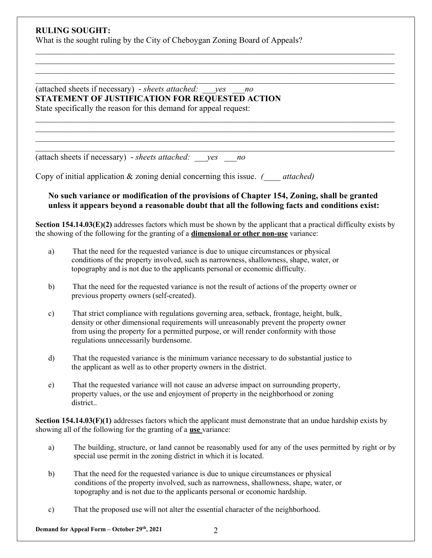#### RULING SOUGHT:

What is the sought ruling by the City of Cheboygan Zoning Board of Appeals?

(attached sheets if necessary) - sheets attached:  $yes$  no STATEMENT OF JUSTIFICATION FOR REQUESTED ACTION State specifically the reason for this demand for appeal request:

(attach sheets if necessary) - sheets attached:  $ves$  no

Copy of initial application  $&$  zoning denial concerning this issue.  $\qquad$  attached)

#### No such variance or modification of the provisions of Chapter 154, Zoning, shall be granted unless it appears beyond a reasonable doubt that all the following facts and conditions exist:

 $\_$  , and the set of the set of the set of the set of the set of the set of the set of the set of the set of the set of the set of the set of the set of the set of the set of the set of the set of the set of the set of th

 $\_$  , and the set of the set of the set of the set of the set of the set of the set of the set of the set of the set of the set of the set of the set of the set of the set of the set of the set of the set of the set of th

Section  $154.14.03(E)(2)$  addresses factors which must be shown by the applicant that a practical difficulty exists by the showing of the following for the granting of a dimensional or other non-use variance:

- a) That the need for the requested variance is due to unique circumstances or physical conditions of the property involved, such as narrowness, shallowness, shape, water, or topography and is not due to the applicants personal or economic difficulty.
- b) That the need for the requested variance is not the result of actions of the property owner or previous property owners (self-created).
- c) That strict compliance with regulations governing area, setback, frontage, height, bulk, density or other dimensional requirements will unreasonably prevent the property owner from using the property for a permitted purpose, or will render conformity with those regulations unnecessarily burdensome.
- d) That the requested variance is the minimum variance necessary to do substantial justice to the applicant as well as to other property owners in the district.
- e) That the requested variance will not cause an adverse impact on surrounding property, property values, or the use and enjoyment of property in the neighborhood or zoning district..

Section 154.14.03(F)(1) addresses factors which the applicant must demonstrate that an undue hardship exists by showing all of the following for the granting of a use variance:

- a) The building, structure, or land cannot be reasonably used for any of the uses permitted by right or by special use permit in the zoning district in which it is located.
- b) That the need for the requested variance is due to unique circumstances or physical conditions of the property involved, such as narrowness, shallowness, shape, water, or topography and is not due to the applicants personal or economic hardship.
- c) That the proposed use will not alter the essential character of the neighborhood.

Demand for Appeal Form – October 29<sup>th</sup>, 2021 2